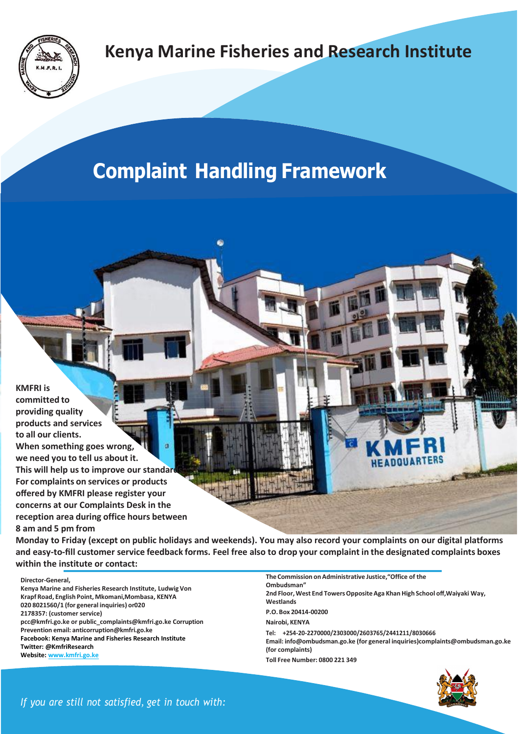

## **Kenya Marine Fisheries and Research Institute**

## **Complaint Handling Framework**

**KMFRI is committed to providing quality products and services to all our clients. When something goes wrong, we need you to tell us about it. This will help us to improve our standard For complaints on services or products offered by KMFRI please register your concerns at our Complaints Desk in the reception area during office hours between 8 am and 5 pm from**

**Monday to Friday (except on public holidays and weekends). You may also record your complaints on our digital platforms and easy-to-fill customer service feedback forms. Feel free also to drop your complaint in the designated complaints boxes within the institute or contact:**

**Director-General,**

**Kenya Marine and Fisheries Research Institute, Ludwig Von Krapf Road, English Point, Mkomani,Mombasa, KENYA 020 8021560/1 (for general inquiries) or020 2178357: (customer service) [pcc@kmfri.go.ke o](mailto:pcc@kmfri.go.ke)[r public\\_complaints@kmfri.go.ke](mailto:public_complaints@kmfri.go.ke) Corruption Prevention email: [anticorruption@kmfri.go.ke](mailto:anticorruption@kmfri.go.ke) Facebook: Kenya Marine and Fisheries Research Institute Twitter: @KmfriResearch Website: www.kmfri.go.ke**

**The Commission onAdministrative Justice,"Office of the Ombudsman" 2nd Floor,West End TowersOppositeAga KhanHigh School off,Waiyaki Way, Westlands P.O. Box 20414-00200 Nairobi, KENYA Tel: +254-20-2270000/2303000/2603765/2441211/8030666 Email: [info@ombudsman.go.ke](mailto:info@ombudsman.go.ke) (for general inquirie[s\)complaints@ombudsman.go.ke](mailto:complaints@ombudsman.go.ke) (for complaints) Toll Free Number: 0800 221 349**



*If you are still not satisfied, get in touch with:*